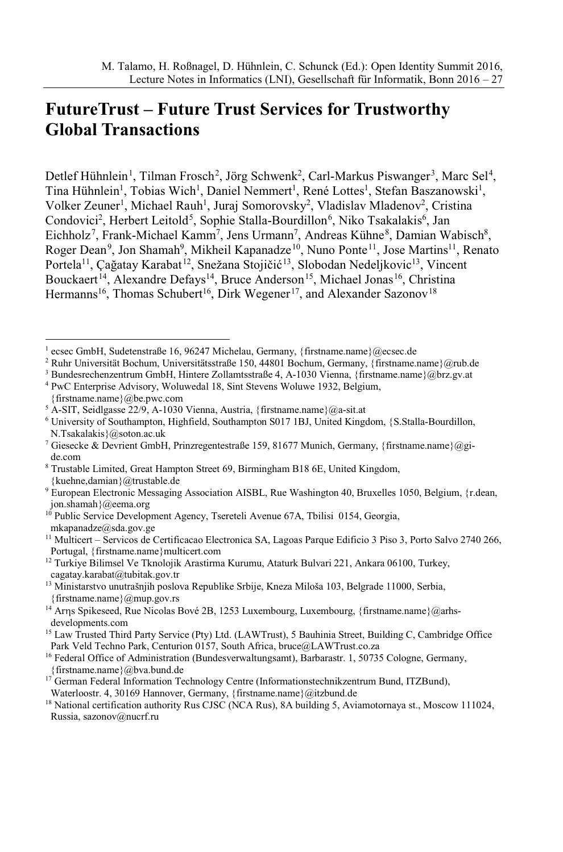# **FutureTrust – Future Trust Services for Trustworthy Global Transactions**

Detlef Hühnlein<sup>1</sup>, Tilman Frosch<sup>2</sup>, Jörg Schwenk<sup>2</sup>, Carl-Markus Piswanger<sup>3</sup>, Marc Sel<sup>4</sup>, Tina Hühnlein<sup>1</sup>, Tobias Wich<sup>1</sup>, Daniel Nemmert<sup>1</sup>, René Lottes<sup>1</sup>, Stefan Baszanowski<sup>1</sup>, Volker Zeuner<sup>1</sup>, Michael Rauh<sup>1</sup>, Juraj Somorovsky<sup>2</sup>, Vladislav Mladenov<sup>2</sup>, Cristina Condovici<sup>2</sup>, Herbert Leitold<sup>5</sup>, Sophie Stalla-Bourdillon<sup>6</sup>, Niko Tsakalakis<sup>6</sup>, Jan Eichholz<sup>7</sup>, Frank-Michael Kamm<sup>7</sup>, Jens Urmann<sup>7</sup>, Andreas Kühne<sup>8</sup>, Damian Wabisch<sup>8</sup>, Roger Dean<sup>9</sup>, Jon Shamah<sup>9</sup>, Mikheil Kapanadze<sup>10</sup>, Nuno Ponte<sup>11</sup>, Jose Martins<sup>11</sup>, Renato Portela<sup>11</sup>, Çağatay Karabat<sup>12</sup>, Snežana Stojičić<sup>13</sup>, Slobodan Nedeljkovic<sup>13</sup>, Vincent Bouckaert<sup>14</sup>, Alexandre Defays<sup>14</sup>, Bruce Anderson<sup>15</sup>, Michael Jonas<sup>16</sup>, Christina Hermanns<sup>16</sup>, Thomas Schubert<sup>16</sup>, Dirk Wegener<sup>17</sup>, and Alexander Sazonov<sup>18</sup>

<sup>4</sup> PwC Enterprise Advisory, Woluwedal 18, Sint Stevens Woluwe 1932, Belgium,

<sup>13</sup> Ministarstvo unutrašnjih poslova Republike Srbije, Kneza Miloša 103, Belgrade 11000, Serbia, {firstname.name} $@$ mup.gov.rs

<sup>17</sup> German Federal Information Technology Centre (Informationstechnikzentrum Bund, ITZBund),

<sup>&</sup>lt;sup>1</sup> ecsec GmbH, Sudetenstraße 16, 96247 Michelau, Germany, {firstname.name}@ecsec.de

<sup>2</sup> Ruhr Universität Bochum, Universitätsstraße 150, 44801 Bochum, Germany, {firstname.name}@rub.de

<sup>3</sup> Bundesrechenzentrum GmbH, Hintere Zollamtsstraße 4, A-1030 Vienna, {firstname.name}@brz.gv.at

<sup>{</sup>firstname.name}@be.pwc.com

<sup>5</sup> A-SIT, Seidlgasse 22/9, A-1030 Vienna, Austria, {firstname.name}@a-sit.at

<sup>6</sup> University of Southampton, Highfield, Southampton S017 1BJ, United Kingdom, {S.Stalla-Bourdillon, N.Tsakalakis}@soton.ac.uk

<sup>7</sup> Giesecke & Devrient GmbH, Prinzregentestraße 159, 81677 Munich, Germany, {firstname.name}@gide.com

<sup>8</sup> Trustable Limited, Great Hampton Street 69, Birmingham B18 6E, United Kingdom, {kuehne,damian}@trustable.de

<sup>9</sup> European Electronic Messaging Association AISBL, Rue Washington 40, Bruxelles 1050, Belgium, {r.dean, jon.shamah}@eema.org

<sup>&</sup>lt;sup>10</sup> Public Service Development Agency, Tsereteli Avenue 67A, Tbilisi 0154, Georgia, mkapanadze@sda.gov.ge

<sup>11</sup> Multicert – Servicos de Certificacao Electronica SA, Lagoas Parque Edificio 3 Piso 3, Porto Salvo 2740 266, Portugal, {firstname.name}multicert.com

<sup>&</sup>lt;sup>12</sup> Turkiye Bilimsel Ve Tknolojik Arastirma Kurumu, Ataturk Bulvari 221, Ankara 06100, Turkey, cagatay.karabat@tubitak.gov.tr

<sup>&</sup>lt;sup>14</sup> Arns Spikeseed, Rue Nicolas Bové 2B, 1253 Luxembourg, Luxembourg, {firstname.name}@arhsdevelopments.com

<sup>&</sup>lt;sup>15</sup> Law Trusted Third Party Service (Pty) Ltd. (LAWTrust), 5 Bauhinia Street, Building C, Cambridge Office Park Veld Techno Park, Centurion 0157, South Africa, bruce@LAWTrust.co.za

<sup>&</sup>lt;sup>16</sup> Federal Office of Administration (Bundesverwaltungsamt), Barbarastr. 1, 50735 Cologne, Germany, {firstname.name}@bva.bund.de

Waterloostr. 4, 30169 Hannover, Germany, {firstname.name}@itzbund.de

<sup>&</sup>lt;sup>18</sup> National certification authority Rus CJSC (NCA Rus), 8A building 5, Aviamotornaya st., Moscow 111024, Russia, sazonov@nucrf.ru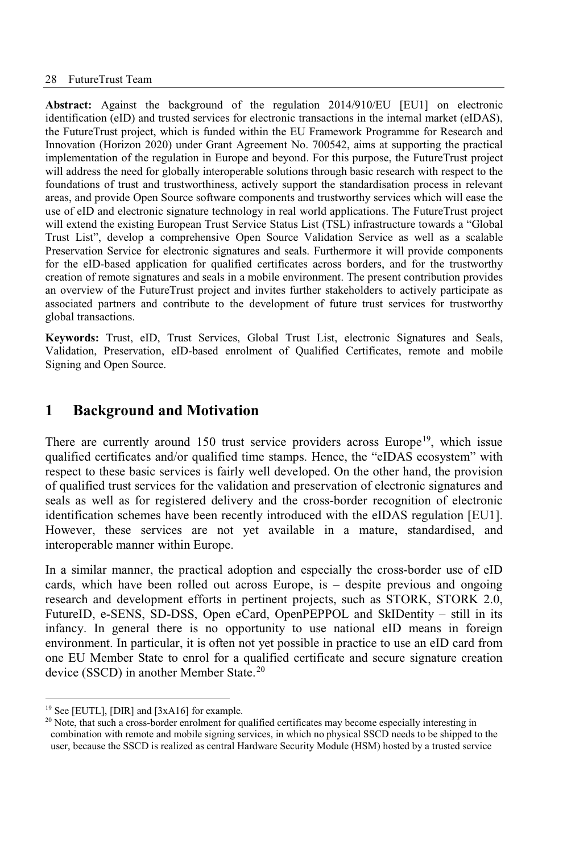**Abstract:** Against the background of the regulation 2014/910/EU [EU1] on electronic identification (eID) and trusted services for electronic transactions in the internal market (eIDAS), the FutureTrust project, which is funded within the EU Framework Programme for Research and Innovation (Horizon 2020) under Grant Agreement No. 700542, aims at supporting the practical implementation of the regulation in Europe and beyond. For this purpose, the FutureTrust project will address the need for globally interoperable solutions through basic research with respect to the foundations of trust and trustworthiness, actively support the standardisation process in relevant areas, and provide Open Source software components and trustworthy services which will ease the use of eID and electronic signature technology in real world applications. The FutureTrust project will extend the existing European Trust Service Status List (TSL) infrastructure towards a "Global Trust List", develop a comprehensive Open Source Validation Service as well as a scalable Preservation Service for electronic signatures and seals. Furthermore it will provide components for the eID-based application for qualified certificates across borders, and for the trustworthy creation of remote signatures and seals in a mobile environment. The present contribution provides an overview of the FutureTrust project and invites further stakeholders to actively participate as associated partners and contribute to the development of future trust services for trustworthy global transactions.

**Keywords:** Trust, eID, Trust Services, Global Trust List, electronic Signatures and Seals, Validation, Preservation, eID-based enrolment of Qualified Certificates, remote and mobile Signing and Open Source.

# **1 Background and Motivation**

There are currently around 150 trust service providers across Europe<sup>19</sup>, which issue qualified certificates and/or qualified time stamps. Hence, the "eIDAS ecosystem" with respect to these basic services is fairly well developed. On the other hand, the provision of qualified trust services for the validation and preservation of electronic signatures and seals as well as for registered delivery and the cross-border recognition of electronic identification schemes have been recently introduced with the eIDAS regulation [EU1]. However, these services are not yet available in a mature, standardised, and interoperable manner within Europe.

In a similar manner, the practical adoption and especially the cross-border use of eID cards, which have been rolled out across Europe, is – despite previous and ongoing research and development efforts in pertinent projects, such as STORK, STORK 2.0, FutureID, e-SENS, SD-DSS, Open eCard, OpenPEPPOL and SkIDentity – still in its infancy. In general there is no opportunity to use national eID means in foreign environment. In particular, it is often not yet possible in practice to use an eID card from one EU Member State to enrol for a qualified certificate and secure signature creation device (SSCD) in another Member State.<sup>20</sup>

<sup>19</sup> See [EUTL], [DIR] and [3xA16] for example.

<sup>&</sup>lt;sup>20</sup> Note, that such a cross-border enrolment for qualified certificates may become especially interesting in combination with remote and mobile signing services, in which no physical SSCD needs to be shipped to the user, because the SSCD is realized as central Hardware Security Module (HSM) hosted by a trusted service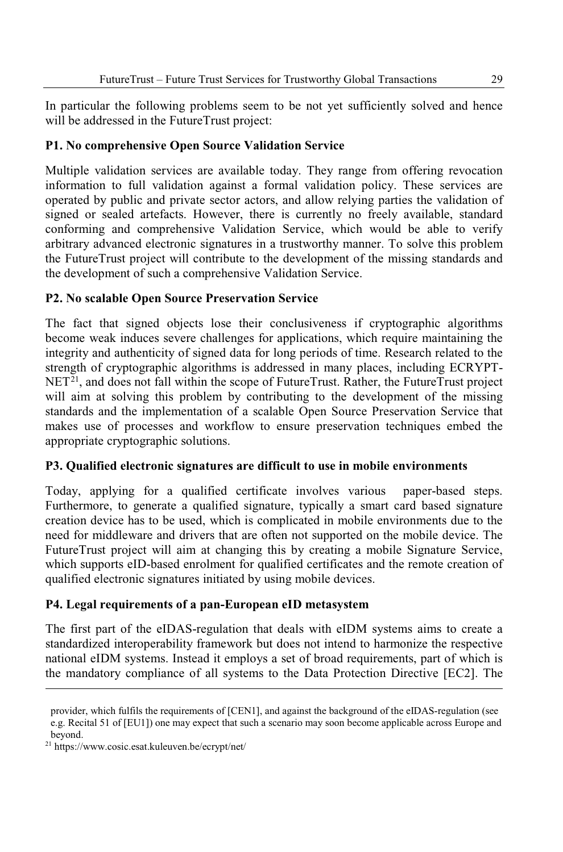In particular the following problems seem to be not yet sufficiently solved and hence will be addressed in the FutureTrust project:

#### **P1. No comprehensive Open Source Validation Service**

Multiple validation services are available today. They range from offering revocation information to full validation against a formal validation policy. These services are operated by public and private sector actors, and allow relying parties the validation of signed or sealed artefacts. However, there is currently no freely available, standard conforming and comprehensive Validation Service, which would be able to verify arbitrary advanced electronic signatures in a trustworthy manner. To solve this problem the FutureTrust project will contribute to the development of the missing standards and the development of such a comprehensive Validation Service.

#### **P2. No scalable Open Source Preservation Service**

The fact that signed objects lose their conclusiveness if cryptographic algorithms become weak induces severe challenges for applications, which require maintaining the integrity and authenticity of signed data for long periods of time. Research related to the strength of cryptographic algorithms is addressed in many places, including ECRYPT- $NET<sup>21</sup>$ , and does not fall within the scope of FutureTrust. Rather, the FutureTrust project will aim at solving this problem by contributing to the development of the missing standards and the implementation of a scalable Open Source Preservation Service that makes use of processes and workflow to ensure preservation techniques embed the appropriate cryptographic solutions.

#### **P3. Qualified electronic signatures are difficult to use in mobile environments**

Today, applying for a qualified certificate involves various paper-based steps. Furthermore, to generate a qualified signature, typically a smart card based signature creation device has to be used, which is complicated in mobile environments due to the need for middleware and drivers that are often not supported on the mobile device. The FutureTrust project will aim at changing this by creating a mobile Signature Service, which supports eID-based enrolment for qualified certificates and the remote creation of qualified electronic signatures initiated by using mobile devices.

#### **P4. Legal requirements of a pan-European eID metasystem**

The first part of the eIDAS-regulation that deals with eIDM systems aims to create a standardized interoperability framework but does not intend to harmonize the respective national eIDM systems. Instead it employs a set of broad requirements, part of which is the mandatory compliance of all systems to the Data Protection Directive [EC2]. The

provider, which fulfils the requirements of [CEN1], and against the background of the eIDAS-regulation (see e.g. Recital 51 of [EU1]) one may expect that such a scenario may soon become applicable across Europe and beyond.

<sup>21</sup> https://www.cosic.esat.kuleuven.be/ecrypt/net/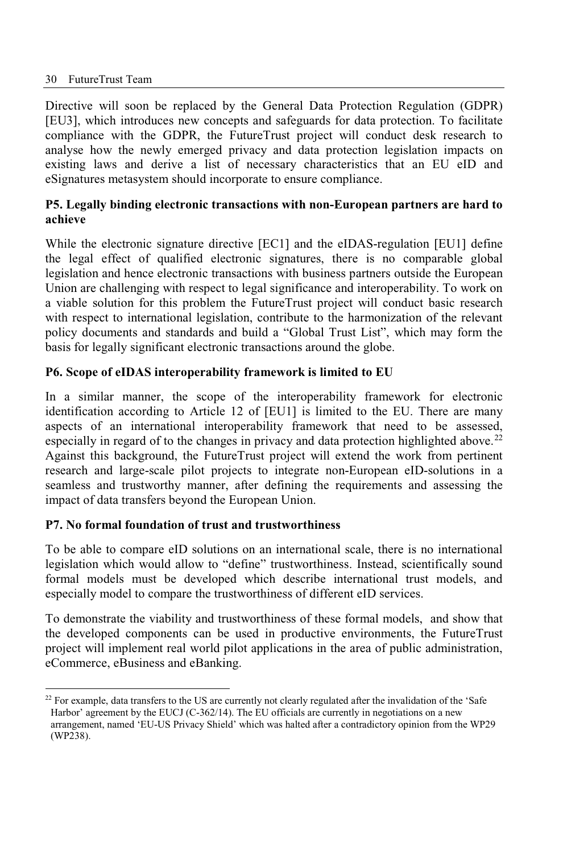#### 30 FutureTrust Team

Directive will soon be replaced by the General Data Protection Regulation (GDPR) [EU3], which introduces new concepts and safeguards for data protection. To facilitate compliance with the GDPR, the FutureTrust project will conduct desk research to analyse how the newly emerged privacy and data protection legislation impacts on existing laws and derive a list of necessary characteristics that an EU eID and eSignatures metasystem should incorporate to ensure compliance.

#### **P5. Legally binding electronic transactions with non-European partners are hard to achieve**

While the electronic signature directive [EC1] and the eIDAS-regulation [EU1] define the legal effect of qualified electronic signatures, there is no comparable global legislation and hence electronic transactions with business partners outside the European Union are challenging with respect to legal significance and interoperability. To work on a viable solution for this problem the FutureTrust project will conduct basic research with respect to international legislation, contribute to the harmonization of the relevant policy documents and standards and build a "Global Trust List", which may form the basis for legally significant electronic transactions around the globe.

#### **P6. Scope of eIDAS interoperability framework is limited to EU**

In a similar manner, the scope of the interoperability framework for electronic identification according to Article 12 of [EU1] is limited to the EU. There are many aspects of an international interoperability framework that need to be assessed, especially in regard of to the changes in privacy and data protection highlighted above.<sup>22</sup> Against this background, the FutureTrust project will extend the work from pertinent research and large-scale pilot projects to integrate non-European eID-solutions in a seamless and trustworthy manner, after defining the requirements and assessing the impact of data transfers beyond the European Union.

#### **P7. No formal foundation of trust and trustworthiness**

To be able to compare eID solutions on an international scale, there is no international legislation which would allow to "define" trustworthiness. Instead, scientifically sound formal models must be developed which describe international trust models, and especially model to compare the trustworthiness of different eID services.

To demonstrate the viability and trustworthiness of these formal models, and show that the developed components can be used in productive environments, the FutureTrust project will implement real world pilot applications in the area of public administration, eCommerce, eBusiness and eBanking.

 $22$  For example, data transfers to the US are currently not clearly regulated after the invalidation of the 'Safe Harbor' agreement by the EUCJ (C-362/14). The EU officials are currently in negotiations on a new arrangement, named 'EU-US Privacy Shield' which was halted after a contradictory opinion from the WP29 (WP238).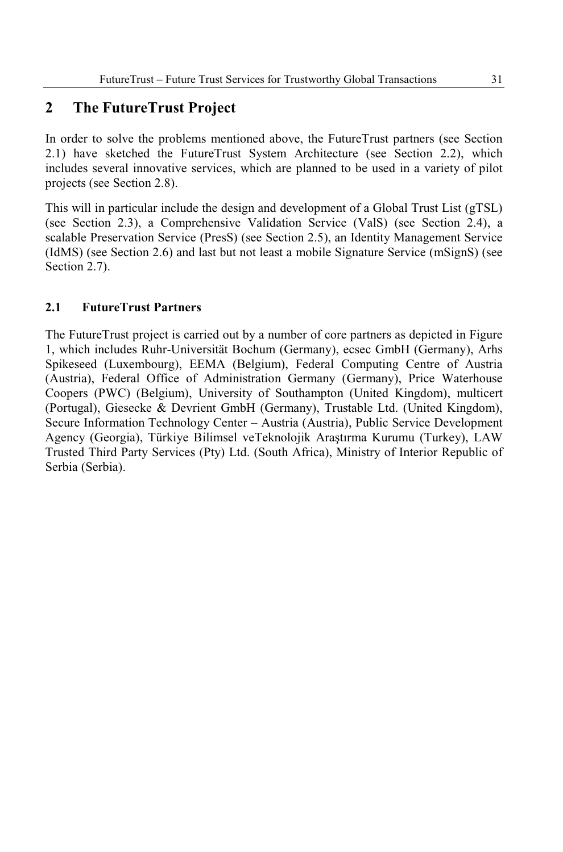# **2 The FutureTrust Project**

In order to solve the problems mentioned above, the FutureTrust partners (see Section 2.1) have sketched the FutureTrust System Architecture (see Section 2.2), which includes several innovative services, which are planned to be used in a variety of pilot projects (see Section 2.8).

This will in particular include the design and development of a Global Trust List (gTSL) (see Section 2.3), a Comprehensive Validation Service (ValS) (see Section 2.4), a scalable Preservation Service (PresS) (see Section 2.5), an Identity Management Service (IdMS) (see Section 2.6) and last but not least a mobile Signature Service (mSignS) (see Section 2.7).

#### **2.1 FutureTrust Partners**

The FutureTrust project is carried out by a number of core partners as depicted in Figure 1, which includes Ruhr-Universität Bochum (Germany), ecsec GmbH (Germany), Arhs Spikeseed (Luxembourg), EEMA (Belgium), Federal Computing Centre of Austria (Austria), Federal Office of Administration Germany (Germany), Price Waterhouse Coopers (PWC) (Belgium), University of Southampton (United Kingdom), multicert (Portugal), Giesecke & Devrient GmbH (Germany), Trustable Ltd. (United Kingdom), Secure Information Technology Center – Austria (Austria), Public Service Development Agency (Georgia), Türkiye Bilimsel veTeknolojik Araştırma Kurumu (Turkey), LAW Trusted Third Party Services (Pty) Ltd. (South Africa), Ministry of Interior Republic of Serbia (Serbia).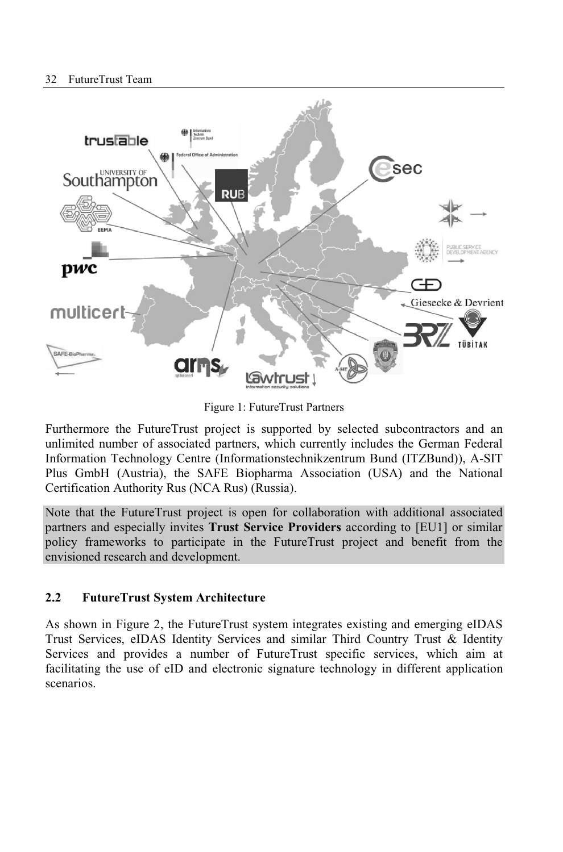

Figure 1: FutureTrust Partners

Furthermore the FutureTrust project is supported by selected subcontractors and an unlimited number of associated partners, which currently includes the German Federal Information Technology Centre (Informationstechnikzentrum Bund (ITZBund)), A-SIT Plus GmbH (Austria), the SAFE Biopharma Association (USA) and the National Certification Authority Rus (NCA Rus) (Russia).

Note that the FutureTrust project is open for collaboration with additional associated partners and especially invites **Trust Service Providers** according to [EU1] or similar policy frameworks to participate in the FutureTrust project and benefit from the envisioned research and development.

#### **2.2 FutureTrust System Architecture**

As shown in Figure 2, the FutureTrust system integrates existing and emerging eIDAS Trust Services, eIDAS Identity Services and similar Third Country Trust & Identity Services and provides a number of FutureTrust specific services, which aim at facilitating the use of eID and electronic signature technology in different application scenarios.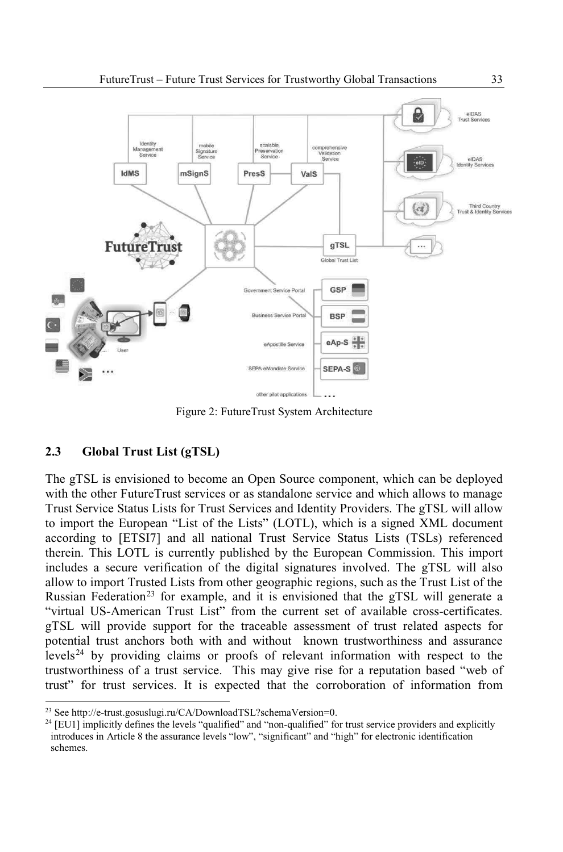

Figure 2: FutureTrust System Architecture

#### **2.3 Global Trust List (gTSL)**

The gTSL is envisioned to become an Open Source component, which can be deployed with the other FutureTrust services or as standalone service and which allows to manage Trust Service Status Lists for Trust Services and Identity Providers. The gTSL will allow to import the European "List of the Lists" (LOTL), which is a signed XML document according to [ETSI7] and all national Trust Service Status Lists (TSLs) referenced therein. This LOTL is currently published by the European Commission. This import includes a secure verification of the digital signatures involved. The gTSL will also allow to import Trusted Lists from other geographic regions, such as the Trust List of the Russian Federation<sup>23</sup> for example, and it is envisioned that the gTSL will generate a "virtual US-American Trust List" from the current set of available cross-certificates. gTSL will provide support for the traceable assessment of trust related aspects for potential trust anchors both with and without known trustworthiness and assurance levels<sup>24</sup> by providing claims or proofs of relevant information with respect to the trustworthiness of a trust service. This may give rise for a reputation based "web of trust" for trust services. It is expected that the corroboration of information from

<sup>23</sup> See http://e-trust.gosuslugi.ru/CA/DownloadTSL?schemaVersion=0.

<sup>&</sup>lt;sup>24</sup> [EU1] implicitly defines the levels "qualified" and "non-qualified" for trust service providers and explicitly introduces in Article 8 the assurance levels "low", "significant" and "high" for electronic identification schemes.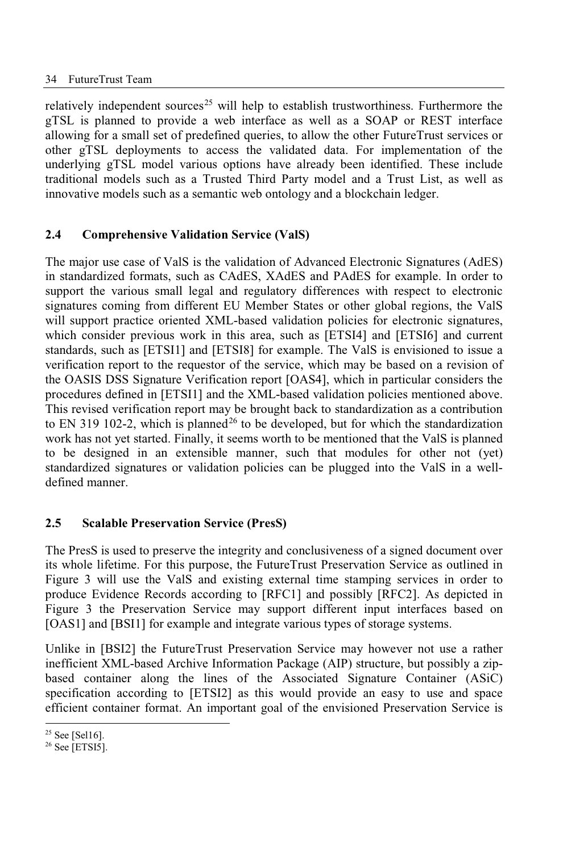relatively independent sources<sup>25</sup> will help to establish trustworthiness. Furthermore the gTSL is planned to provide a web interface as well as a SOAP or REST interface allowing for a small set of predefined queries, to allow the other FutureTrust services or other gTSL deployments to access the validated data. For implementation of the underlying gTSL model various options have already been identified. These include traditional models such as a Trusted Third Party model and a Trust List, as well as innovative models such as a semantic web ontology and a blockchain ledger.

#### **2.4 Comprehensive Validation Service (ValS)**

The major use case of ValS is the validation of Advanced Electronic Signatures (AdES) in standardized formats, such as CAdES, XAdES and PAdES for example. In order to support the various small legal and regulatory differences with respect to electronic signatures coming from different EU Member States or other global regions, the ValS will support practice oriented XML-based validation policies for electronic signatures, which consider previous work in this area, such as [ETSI4] and [ETSI6] and current standards, such as [ETSI1] and [ETSI8] for example. The ValS is envisioned to issue a verification report to the requestor of the service, which may be based on a revision of the OASIS DSS Signature Verification report [OAS4], which in particular considers the procedures defined in [ETSI1] and the XML-based validation policies mentioned above. This revised verification report may be brought back to standardization as a contribution to EN 319 102-2, which is planned<sup>26</sup> to be developed, but for which the standardization work has not yet started. Finally, it seems worth to be mentioned that the ValS is planned to be designed in an extensible manner, such that modules for other not (yet) standardized signatures or validation policies can be plugged into the ValS in a welldefined manner.

#### **2.5 Scalable Preservation Service (PresS)**

The PresS is used to preserve the integrity and conclusiveness of a signed document over its whole lifetime. For this purpose, the FutureTrust Preservation Service as outlined in Figure 3 will use the ValS and existing external time stamping services in order to produce Evidence Records according to [RFC1] and possibly [RFC2]. As depicted in Figure 3 the Preservation Service may support different input interfaces based on [OAS1] and [BSI1] for example and integrate various types of storage systems.

Unlike in [BSI2] the FutureTrust Preservation Service may however not use a rather inefficient XML-based Archive Information Package (AIP) structure, but possibly a zipbased container along the lines of the Associated Signature Container (ASiC) specification according to [ETSI2] as this would provide an easy to use and space efficient container format. An important goal of the envisioned Preservation Service is

 $25$  See [Sel16].

<sup>26</sup> See [ETSI5].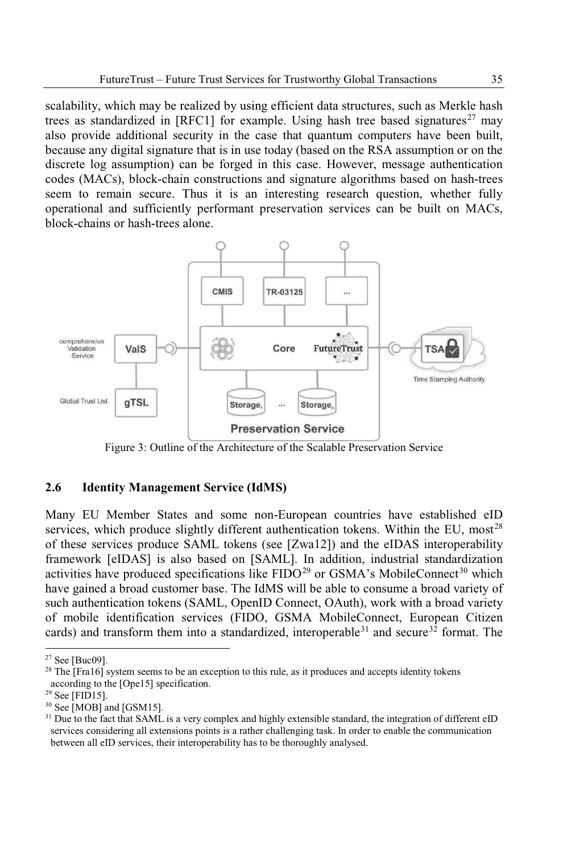scalability, which may be realized by using efficient data structures, such as Merkle hash trees as standardized in [RFC1] for example. Using hash tree based signatures<sup>27</sup> may also provide additional security in the case that quantum computers have been built, because any digital signature that is in use today (based on the RSA assumption or on the discrete log assumption) can be forged in this case. However, message authentication codes (MACs), block-chain constructions and signature algorithms based on hash-trees seem to remain secure. Thus it is an interesting research question, whether fully operational and sufficiently performant preservation services can be built on MACs, block-chains or hash-trees alone.



Figure 3: Outline of the Architecture of the Scalable Preservation Service

#### **2.6 Identity Management Service (IdMS)**

Many EU Member States and some non-European countries have established eID services, which produce slightly different authentication tokens. Within the EU, most<sup>28</sup> of these services produce SAML tokens (see [Zwa12]) and the eIDAS interoperability framework [eIDAS] is also based on [SAML]. In addition, industrial standardization activities have produced specifications like  $FIDO^{29}$  or  $GSMA's$  MobileConnect<sup>30</sup> which have gained a broad customer base. The IdMS will be able to consume a broad variety of such authentication tokens (SAML, OpenID Connect, OAuth), work with a broad variety of mobile identification services (FIDO, GSMA MobileConnect, European Citizen cards) and transform them into a standardized, interoperable<sup>31</sup> and secure<sup>32</sup> format. The

<sup>27</sup> See [Buc09].

<sup>&</sup>lt;sup>28</sup> The [Fra16] system seems to be an exception to this rule, as it produces and accepts identity tokens according to the [Ope15] specification.

 $29$  See [FID15].

 $30$  See [MOB] and [GSM15].

<sup>&</sup>lt;sup>31</sup> Due to the fact that SAML is a very complex and highly extensible standard, the integration of different eID services considering all extensions points is a rather challenging task. In order to enable the communication between all eID services, their interoperability has to be thoroughly analysed.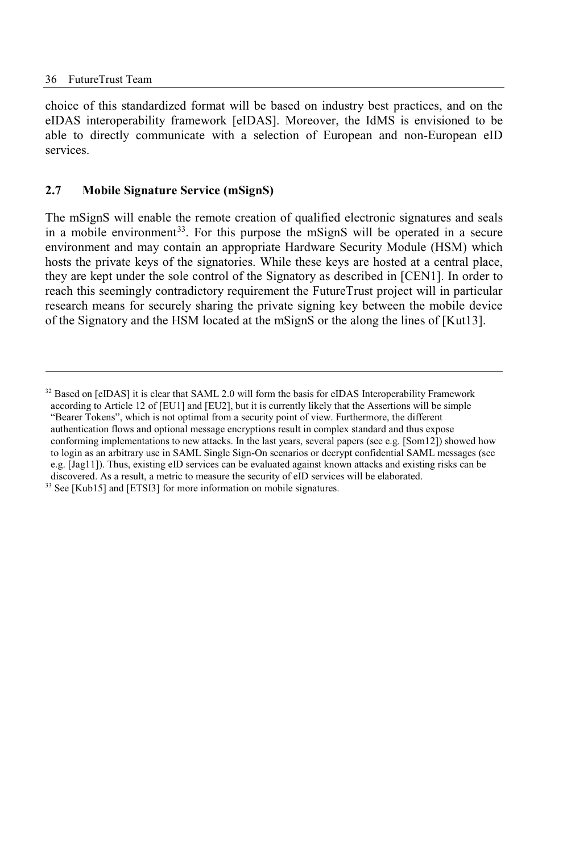choice of this standardized format will be based on industry best practices, and on the eIDAS interoperability framework [eIDAS]. Moreover, the IdMS is envisioned to be able to directly communicate with a selection of European and non-European eID services.

#### **2.7 Mobile Signature Service (mSignS)**

The mSignS will enable the remote creation of qualified electronic signatures and seals in a mobile environment<sup>33</sup>. For this purpose the mSignS will be operated in a secure environment and may contain an appropriate Hardware Security Module (HSM) which hosts the private keys of the signatories. While these keys are hosted at a central place, they are kept under the sole control of the Signatory as described in [CEN1]. In order to reach this seemingly contradictory requirement the FutureTrust project will in particular research means for securely sharing the private signing key between the mobile device of the Signatory and the HSM located at the mSignS or the along the lines of [Kut13].

<sup>&</sup>lt;sup>32</sup> Based on [eIDAS] it is clear that SAML 2.0 will form the basis for eIDAS Interoperability Framework according to Article 12 of [EU1] and [EU2], but it is currently likely that the Assertions will be simple "Bearer Tokens", which is not optimal from a security point of view. Furthermore, the different authentication flows and optional message encryptions result in complex standard and thus expose conforming implementations to new attacks. In the last years, several papers (see e.g. [Som12]) showed how to login as an arbitrary use in SAML Single Sign-On scenarios or decrypt confidential SAML messages (see e.g. [Jag11]). Thus, existing eID services can be evaluated against known attacks and existing risks can be discovered. As a result, a metric to measure the security of eID services will be elaborated. <sup>33</sup> See [Kub15] and [ETSI3] for more information on mobile signatures.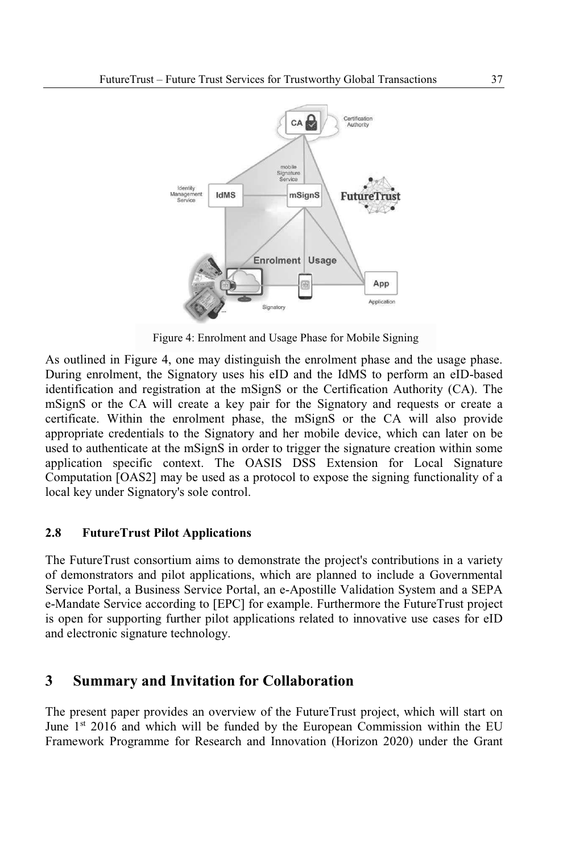

Figure 4: Enrolment and Usage Phase for Mobile Signing

As outlined in Figure 4, one may distinguish the enrolment phase and the usage phase. During enrolment, the Signatory uses his eID and the IdMS to perform an eID-based identification and registration at the mSignS or the Certification Authority (CA). The mSignS or the CA will create a key pair for the Signatory and requests or create a certificate. Within the enrolment phase, the mSignS or the CA will also provide appropriate credentials to the Signatory and her mobile device, which can later on be used to authenticate at the mSignS in order to trigger the signature creation within some application specific context. The OASIS DSS Extension for Local Signature Computation [OAS2] may be used as a protocol to expose the signing functionality of a local key under Signatory's sole control.

#### **2.8 FutureTrust Pilot Applications**

The FutureTrust consortium aims to demonstrate the project's contributions in a variety of demonstrators and pilot applications, which are planned to include a Governmental Service Portal, a Business Service Portal, an e-Apostille Validation System and a SEPA e-Mandate Service according to [EPC] for example. Furthermore the FutureTrust project is open for supporting further pilot applications related to innovative use cases for eID and electronic signature technology.

### **3 Summary and Invitation for Collaboration**

The present paper provides an overview of the FutureTrust project, which will start on June  $1<sup>st</sup>$  2016 and which will be funded by the European Commission within the EU Framework Programme for Research and Innovation (Horizon 2020) under the Grant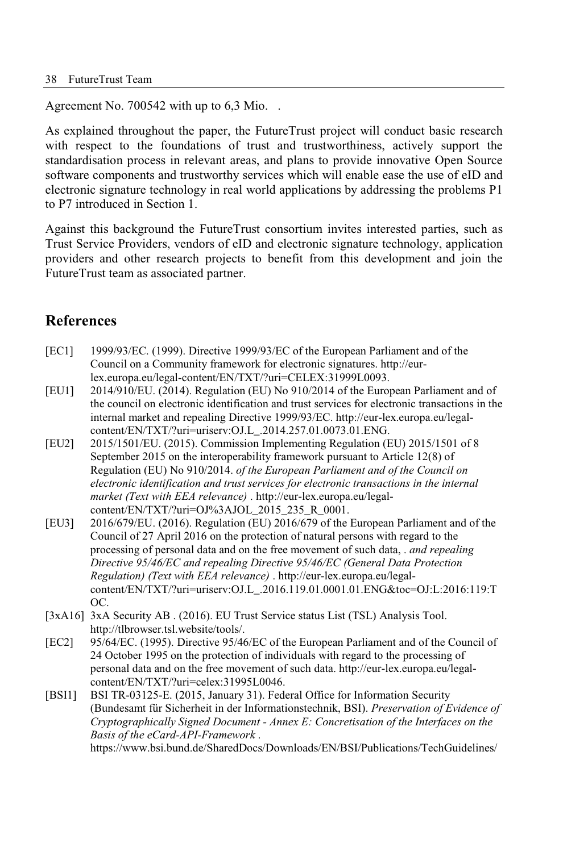Agreement No. 700542 with up to 6,3 Mio. .

As explained throughout the paper, the FutureTrust project will conduct basic research with respect to the foundations of trust and trustworthiness, actively support the standardisation process in relevant areas, and plans to provide innovative Open Source software components and trustworthy services which will enable ease the use of eID and electronic signature technology in real world applications by addressing the problems P1 to P7 introduced in Section 1.

Against this background the FutureTrust consortium invites interested parties, such as Trust Service Providers, vendors of eID and electronic signature technology, application providers and other research projects to benefit from this development and join the FutureTrust team as associated partner.

## **References**

- [EC1] 1999/93/EC. (1999). Directive 1999/93/EC of the European Parliament and of the Council on a Community framework for electronic signatures. http://eurlex.europa.eu/legal-content/EN/TXT/?uri=CELEX:31999L0093.
- [EU1] 2014/910/EU. (2014). Regulation (EU) No 910/2014 of the European Parliament and of the council on electronic identification and trust services for electronic transactions in the internal market and repealing Directive 1999/93/EC. http://eur-lex.europa.eu/legalcontent/EN/TXT/?uri=uriserv:OJ.L\_.2014.257.01.0073.01.ENG.
- [EU2] 2015/1501/EU. (2015). Commission Implementing Regulation (EU) 2015/1501 of 8 September 2015 on the interoperability framework pursuant to Article 12(8) of Regulation (EU) No 910/2014. *of the European Parliament and of the Council on electronic identification and trust services for electronic transactions in the internal market (Text with EEA relevance)* . http://eur-lex.europa.eu/legalcontent/EN/TXT/?uri=OJ%3AJOL\_2015\_235\_R\_0001.
- [EU3] 2016/679/EU. (2016). Regulation (EU) 2016/679 of the European Parliament and of the Council of 27 April 2016 on the protection of natural persons with regard to the processing of personal data and on the free movement of such data, . *and repealing Directive 95/46/EC and repealing Directive 95/46/EC (General Data Protection Regulation) (Text with EEA relevance)* . http://eur-lex.europa.eu/legalcontent/EN/TXT/?uri=uriserv:OJ.L\_.2016.119.01.0001.01.ENG&toc=OJ:L:2016:119:T OC.
- [3xA16] 3xA Security AB . (2016). EU Trust Service status List (TSL) Analysis Tool. http://tlbrowser.tsl.website/tools/.
- [EC2] 95/64/EC. (1995). Directive 95/46/EC of the European Parliament and of the Council of 24 October 1995 on the protection of individuals with regard to the processing of personal data and on the free movement of such data. http://eur-lex.europa.eu/legalcontent/EN/TXT/?uri=celex:31995L0046.
- [BSI1] BSI TR-03125-E. (2015, January 31). Federal Office for Information Security (Bundesamt für Sicherheit in der Informationstechnik, BSI). *Preservation of Evidence of Cryptographically Signed Document - Annex E: Concretisation of the Interfaces on the Basis of the eCard-API-Framework* . https://www.bsi.bund.de/SharedDocs/Downloads/EN/BSI/Publications/TechGuidelines/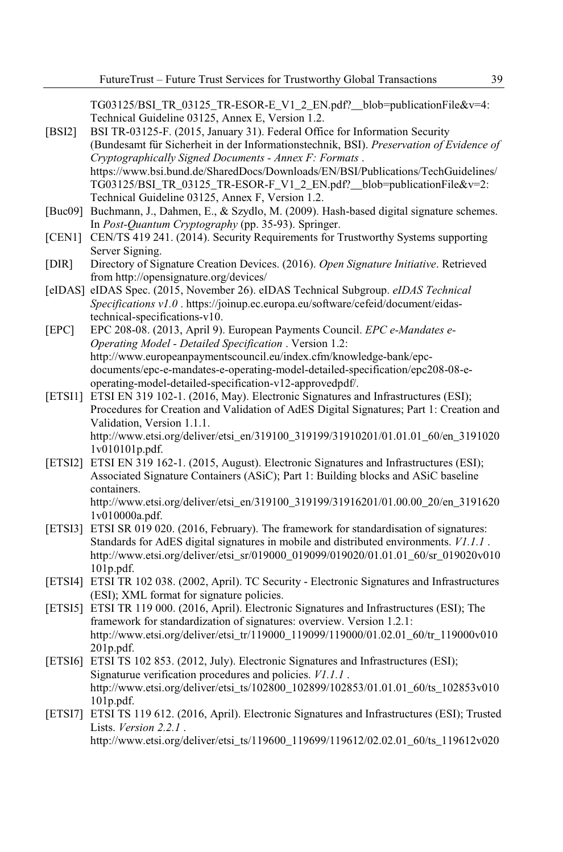TG03125/BSI\_TR\_03125\_TR-ESOR-E\_V1\_2\_EN.pdf?\_\_blob=publicationFile&v=4: Technical Guideline 03125, Annex E, Version 1.2.

- [BSI2] BSI TR-03125-F. (2015, January 31). Federal Office for Information Security (Bundesamt für Sicherheit in der Informationstechnik, BSI). *Preservation of Evidence of Cryptographically Signed Documents - Annex F: Formats* . https://www.bsi.bund.de/SharedDocs/Downloads/EN/BSI/Publications/TechGuidelines/  $T\overline{G}03125/BSI$  TR 03125 TR-ESOR-F V1 2 EN.pdf? blob=publicationFile&v=2: Technical Guideline 03125, Annex F, Version 1.2.
- [Buc09] Buchmann, J., Dahmen, E., & Szydlo, M. (2009). Hash-based digital signature schemes. In *Post-Quantum Cryptography* (pp. 35-93). Springer.
- [CEN1] CEN/TS 419 241. (2014). Security Requirements for Trustworthy Systems supporting Server Signing.
- [DIR] Directory of Signature Creation Devices. (2016). *Open Signature Initiative*. Retrieved from http://opensignature.org/devices/
- [eIDAS] eIDAS Spec. (2015, November 26). eIDAS Technical Subgroup. *eIDAS Technical Specifications v1.0* . https://joinup.ec.europa.eu/software/cefeid/document/eidastechnical-specifications-v10.
- [EPC] EPC 208-08. (2013, April 9). European Payments Council. *EPC e-Mandates e-Operating Model - Detailed Specification* . Version 1.2: http://www.europeanpaymentscouncil.eu/index.cfm/knowledge-bank/epcdocuments/epc-e-mandates-e-operating-model-detailed-specification/epc208-08-eoperating-model-detailed-specification-v12-approvedpdf/.
- [ETSI1] ETSI EN 319 102-1. (2016, May). Electronic Signatures and Infrastructures (ESI); Procedures for Creation and Validation of AdES Digital Signatures; Part 1: Creation and Validation, Version 1.1.1. http://www.etsi.org/deliver/etsi\_en/319100\_319199/31910201/01.01.01\_60/en\_3191020 1v010101p.pdf.
- [ETSI2] ETSI EN 319 162-1. (2015, August). Electronic Signatures and Infrastructures (ESI); Associated Signature Containers (ASiC); Part 1: Building blocks and ASiC baseline containers. http://www.etsi.org/deliver/etsi\_en/319100\_319199/31916201/01.00.00\_20/en\_3191620

1v010000a.pdf.

- [ETSI3] ETSI SR 019 020. (2016, February). The framework for standardisation of signatures: Standards for AdES digital signatures in mobile and distributed environments. *V1.1.1* . http://www.etsi.org/deliver/etsi\_sr/019000\_019099/019020/01.01.01\_60/sr\_019020v010 101p.pdf.
- [ETSI4] ETSI TR 102 038. (2002, April). TC Security Electronic Signatures and Infrastructures (ESI); XML format for signature policies.
- [ETSI5] ETSI TR 119 000. (2016, April). Electronic Signatures and Infrastructures (ESI); The framework for standardization of signatures: overview. Version 1.2.1: http://www.etsi.org/deliver/etsi\_tr/119000\_119099/119000/01.02.01\_60/tr\_119000v010 201p.pdf.
- [ETSI6] ETSI TS 102 853. (2012, July). Electronic Signatures and Infrastructures (ESI); Signaturue verification procedures and policies. *V1.1.1* . http://www.etsi.org/deliver/etsi\_ts/102800\_102899/102853/01.01.01\_60/ts\_102853v010 101p.pdf.
- [ETSI7] ETSI TS 119 612. (2016, April). Electronic Signatures and Infrastructures (ESI); Trusted Lists. *Version 2.2.1* . http://www.etsi.org/deliver/etsi\_ts/119600\_119699/119612/02.02.01\_60/ts\_119612v020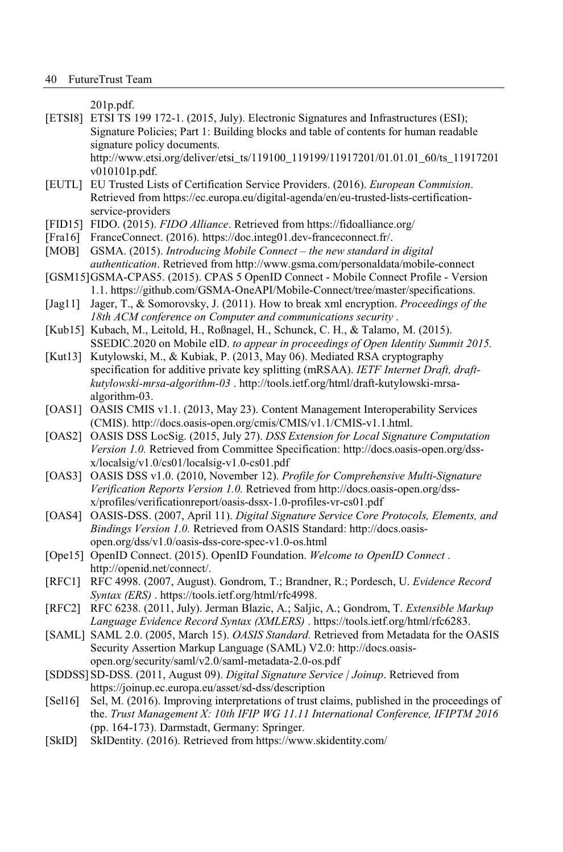201p.pdf.

[ETSI8] ETSI TS 199 172-1. (2015, July). Electronic Signatures and Infrastructures (ESI); Signature Policies; Part 1: Building blocks and table of contents for human readable signature policy documents.

http://www.etsi.org/deliver/etsi\_ts/119100\_119199/11917201/01.01.01\_60/ts\_11917201 v010101p.pdf.

- [EUTL] EU Trusted Lists of Certification Service Providers. (2016). *European Commision*. Retrieved from https://ec.europa.eu/digital-agenda/en/eu-trusted-lists-certificationservice-providers
- [FID15] FIDO. (2015). *FIDO Alliance*. Retrieved from https://fidoalliance.org/
- [Fra16] FranceConnect. (2016). https://doc.integ01.dev-franceconnect.fr/.
- [MOB] GSMA. (2015). *Introducing Mobile Connect the new standard in digital authentication*. Retrieved from http://www.gsma.com/personaldata/mobile-connect
- [GSM15]GSMA-CPAS5. (2015). CPAS 5 OpenID Connect Mobile Connect Profile Version 1.1. https://github.com/GSMA-OneAPI/Mobile-Connect/tree/master/specifications.
- [Jag11] Jager, T., & Somorovsky, J. (2011). How to break xml encryption. *Proceedings of the 18th ACM conference on Computer and communications security* .
- [Kub15] Kubach, M., Leitold, H., Roßnagel, H., Schunck, C. H., & Talamo, M. (2015). SSEDIC.2020 on Mobile eID. *to appear in proceedings of Open Identity Summit 2015.*
- [Kut13] Kutylowski, M., & Kubiak, P. (2013, May 06). Mediated RSA cryptography specification for additive private key splitting (mRSAA). *IETF Internet Draft, draftkutylowski-mrsa-algorithm-03* . http://tools.ietf.org/html/draft-kutylowski-mrsaalgorithm-03.
- [OAS1] OASIS CMIS v1.1. (2013, May 23). Content Management Interoperability Services (CMIS). http://docs.oasis-open.org/cmis/CMIS/v1.1/CMIS-v1.1.html.
- [OAS2] OASIS DSS LocSig. (2015, July 27). *DSS Extension for Local Signature Computation Version 1.0.* Retrieved from Committee Specification: http://docs.oasis-open.org/dssx/localsig/v1.0/cs01/localsig-v1.0-cs01.pdf
- [OAS3] OASIS DSS v1.0. (2010, November 12). *Profile for Comprehensive Multi-Signature Verification Reports Version 1.0.* Retrieved from http://docs.oasis-open.org/dssx/profiles/verificationreport/oasis-dssx-1.0-profiles-vr-cs01.pdf
- [OAS4] OASIS-DSS. (2007, April 11). *Digital Signature Service Core Protocols, Elements, and Bindings Version 1.0.* Retrieved from OASIS Standard: http://docs.oasisopen.org/dss/v1.0/oasis-dss-core-spec-v1.0-os.html
- [Ope15] OpenID Connect. (2015). OpenID Foundation. *Welcome to OpenID Connect* . http://openid.net/connect/.
- [RFC1] RFC 4998. (2007, August). Gondrom, T.; Brandner, R.; Pordesch, U. *Evidence Record Syntax (ERS)* . https://tools.ietf.org/html/rfc4998.
- [RFC2] RFC 6238. (2011, July). Jerman Blazic, A.; Saljic, A.; Gondrom, T. *Extensible Markup Language Evidence Record Syntax (XMLERS)* . https://tools.ietf.org/html/rfc6283.
- [SAML] SAML 2.0. (2005, March 15). *OASIS Standard.* Retrieved from Metadata for the OASIS Security Assertion Markup Language (SAML) V2.0: http://docs.oasisopen.org/security/saml/v2.0/saml-metadata-2.0-os.pdf
- [SDDSS]SD-DSS. (2011, August 09). *Digital Signature Service | Joinup*. Retrieved from https://joinup.ec.europa.eu/asset/sd-dss/description
- [Sel16] Sel, M. (2016). Improving interpretations of trust claims, published in the proceedings of the. *Trust Management X: 10th IFIP WG 11.11 International Conference, IFIPTM 2016* (pp. 164-173). Darmstadt, Germany: Springer.
- [SkID] SkIDentity. (2016). Retrieved from https://www.skidentity.com/